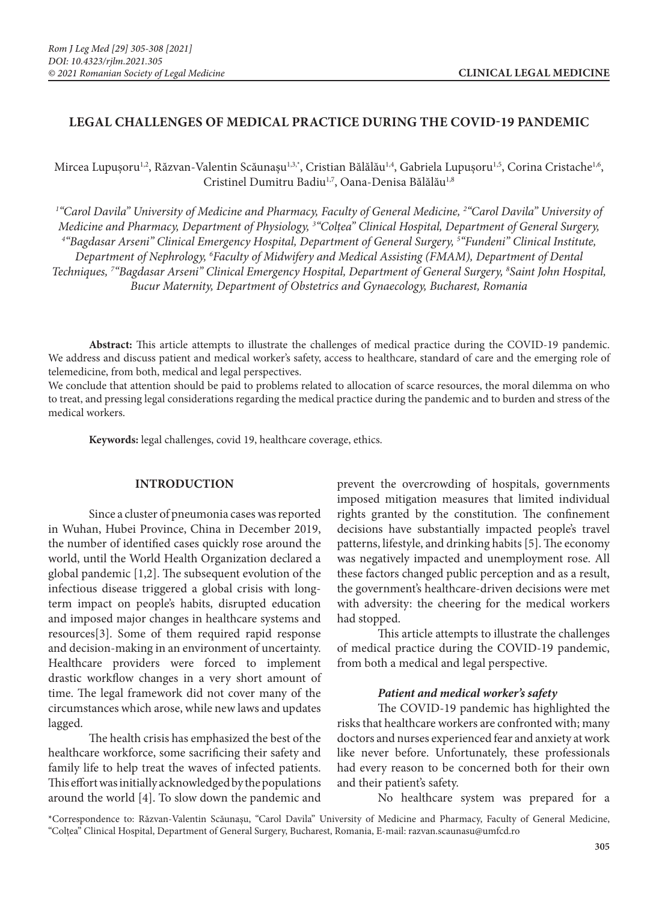# **LEGAL CHALLENGES OF MEDICAL PRACTICE DURING THE COVID-19 PANDEMIC**

Mircea Lupușoru<sup>1,2</sup>, Răzvan-Valentin Scăunașu<sup>1,3,\*</sup>, Cristian Bălălău<sup>1,4</sup>, Gabriela Lupușoru<sup>1,5</sup>, Corina Cristache<sup>1,6</sup>, Cristinel Dumitru Badiu<sup>1,7</sup>, Oana-Denisa Bălălău<sup>1,8</sup>

<sup>1</sup>"Carol Davila" University of Medicine and Pharmacy, Faculty of General Medicine, <sup>2</sup>"Carol Davila" University of Medicine and Pharmacy, Department of Physiology, <sup>3</sup>"Colțea" Clinical Hospital, Department of General Surgery,<br><sup>4</sup> "Bagdasar Arseni" Clinical Emergency Hospital, Department of General Surgery <sup>5</sup> "Fundeni" Clinical Institu *"Bagdasar Arseni" Clinical Emergency Hospital, Department of General Surgery, 5 "Fundeni" Clinical Institute, Department of Nephrology, 6 Faculty of Midwifery and Medical Assisting (FMAM), Department of Dental Techniques, 7 "Bagdasar Arseni" Clinical Emergency Hospital, Department of General Surgery, 8 Saint John Hospital, Bucur Maternity, Department of Obstetrics and Gynaecology, Bucharest, Romania*

**Abstract:** This article attempts to illustrate the challenges of medical practice during the COVID-19 pandemic. We address and discuss patient and medical worker's safety, access to healthcare, standard of care and the emerging role of telemedicine, from both, medical and legal perspectives.

We conclude that attention should be paid to problems related to allocation of scarce resources, the moral dilemma on who to treat, and pressing legal considerations regarding the medical practice during the pandemic and to burden and stress of the medical workers.

**Keywords:** legal challenges, covid 19, healthcare coverage, ethics.

### **INTRODUCTION**

Since a cluster of pneumonia cases was reported in Wuhan, Hubei Province, China in December 2019, the number of identified cases quickly rose around the world, until the World Health Organization declared a global pandemic [1,2]. The subsequent evolution of the infectious disease triggered a global crisis with longterm impact on people's habits, disrupted education and imposed major changes in healthcare systems and resources[3]. Some of them required rapid response and decision-making in an environment of uncertainty. Healthcare providers were forced to implement drastic workflow changes in a very short amount of time. The legal framework did not cover many of the circumstances which arose, while new laws and updates lagged.

The health crisis has emphasized the best of the healthcare workforce, some sacrificing their safety and family life to help treat the waves of infected patients. This effort was initially acknowledged by the populations around the world [4]. To slow down the pandemic and prevent the overcrowding of hospitals, governments imposed mitigation measures that limited individual rights granted by the constitution. The confinement decisions have substantially impacted people's travel patterns, lifestyle, and drinking habits [5]. The economy was negatively impacted and unemployment rose. All these factors changed public perception and as a result, the government's healthcare-driven decisions were met with adversity: the cheering for the medical workers had stopped.

This article attempts to illustrate the challenges of medical practice during the COVID-19 pandemic, from both a medical and legal perspective.

#### *Patient and medical worker's safety*

The COVID-19 pandemic has highlighted the risks that healthcare workers are confronted with; many doctors and nurses experienced fear and anxiety at work like never before. Unfortunately, these professionals had every reason to be concerned both for their own and their patient's safety.

No healthcare system was prepared for a

\*Correspondence to: Răzvan-Valentin Scăunaşu, "Carol Davila" University of Medicine and Pharmacy, Faculty of General Medicine, "Colțea" Clinical Hospital, Department of General Surgery, Bucharest, Romania, E-mail: razvan.scaunasu@umfcd.ro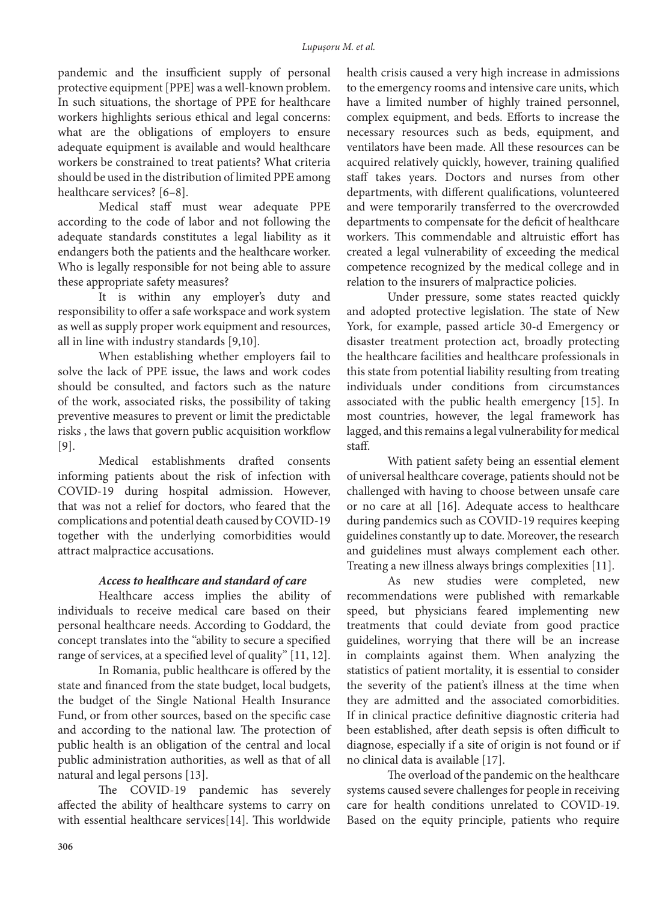pandemic and the insufficient supply of personal protective equipment [PPE] was a well-known problem. In such situations, the shortage of PPE for healthcare workers highlights serious ethical and legal concerns: what are the obligations of employers to ensure adequate equipment is available and would healthcare workers be constrained to treat patients? What criteria should be used in the distribution of limited PPE among healthcare services? [6–8].

Medical staff must wear adequate PPE according to the code of labor and not following the adequate standards constitutes a legal liability as it endangers both the patients and the healthcare worker. Who is legally responsible for not being able to assure these appropriate safety measures?

It is within any employer's duty and responsibility to offer a safe workspace and work system as well as supply proper work equipment and resources, all in line with industry standards [9,10].

When establishing whether employers fail to solve the lack of PPE issue, the laws and work codes should be consulted, and factors such as the nature of the work, associated risks, the possibility of taking preventive measures to prevent or limit the predictable risks , the laws that govern public acquisition workflow [9].

Medical establishments drafted consents informing patients about the risk of infection with COVID-19 during hospital admission. However, that was not a relief for doctors, who feared that the complications and potential death caused by COVID-19 together with the underlying comorbidities would attract malpractice accusations.

#### *Access to healthcare and standard of care*

Healthcare access implies the ability of individuals to receive medical care based on their personal healthcare needs. According to Goddard, the concept translates into the "ability to secure a specified range of services, at a specified level of quality" [11, 12].

In Romania, public healthcare is offered by the state and financed from the state budget, local budgets, the budget of the Single National Health Insurance Fund, or from other sources, based on the specific case and according to the national law. The protection of public health is an obligation of the central and local public administration authorities, as well as that of all natural and legal persons [13].

The COVID-19 pandemic has severely affected the ability of healthcare systems to carry on with essential healthcare services[14]. This worldwide health crisis caused a very high increase in admissions to the emergency rooms and intensive care units, which have a limited number of highly trained personnel, complex equipment, and beds. Efforts to increase the necessary resources such as beds, equipment, and ventilators have been made. All these resources can be acquired relatively quickly, however, training qualified staff takes years. Doctors and nurses from other departments, with different qualifications, volunteered and were temporarily transferred to the overcrowded departments to compensate for the deficit of healthcare workers. This commendable and altruistic effort has created a legal vulnerability of exceeding the medical competence recognized by the medical college and in relation to the insurers of malpractice policies.

Under pressure, some states reacted quickly and adopted protective legislation. The state of New York, for example, passed article 30-d Emergency or disaster treatment protection act, broadly protecting the healthcare facilities and healthcare professionals in this state from potential liability resulting from treating individuals under conditions from circumstances associated with the public health emergency [15]. In most countries, however, the legal framework has lagged, and this remains a legal vulnerability for medical staff.

With patient safety being an essential element of universal healthcare coverage, patients should not be challenged with having to choose between unsafe care or no care at all [16]. Adequate access to healthcare during pandemics such as COVID-19 requires keeping guidelines constantly up to date. Moreover, the research and guidelines must always complement each other. Treating a new illness always brings complexities [11].

As new studies were completed, new recommendations were published with remarkable speed, but physicians feared implementing new treatments that could deviate from good practice guidelines, worrying that there will be an increase in complaints against them. When analyzing the statistics of patient mortality, it is essential to consider the severity of the patient's illness at the time when they are admitted and the associated comorbidities. If in clinical practice definitive diagnostic criteria had been established, after death sepsis is often difficult to diagnose, especially if a site of origin is not found or if no clinical data is available [17].

The overload of the pandemic on the healthcare systems caused severe challenges for people in receiving care for health conditions unrelated to COVID-19. Based on the equity principle, patients who require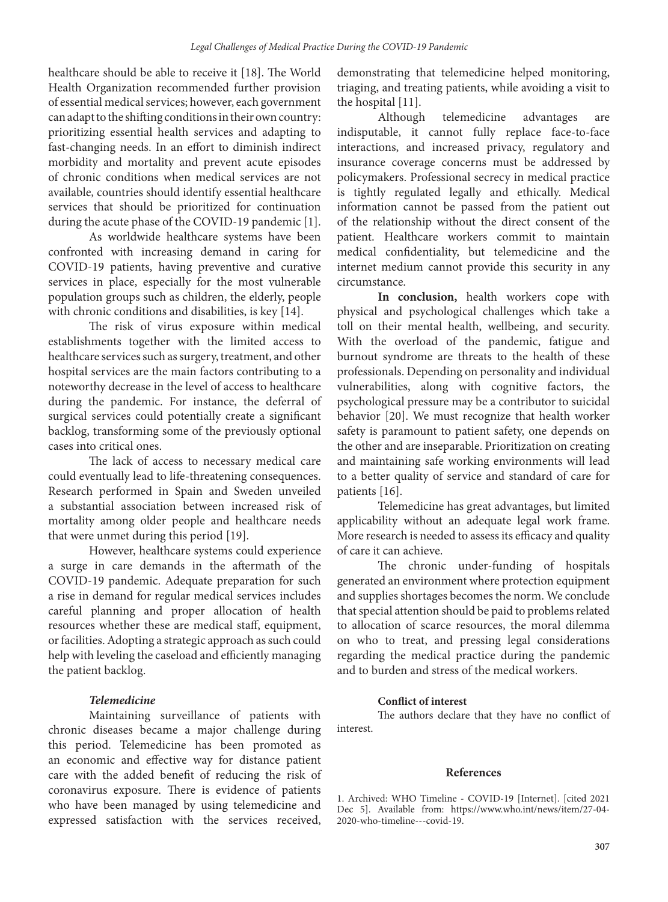healthcare should be able to receive it [18]. The World Health Organization recommended further provision of essential medical services; however, each government can adapt to the shifting conditions in their own country: prioritizing essential health services and adapting to fast-changing needs. In an effort to diminish indirect morbidity and mortality and prevent acute episodes of chronic conditions when medical services are not available, countries should identify essential healthcare services that should be prioritized for continuation during the acute phase of the COVID-19 pandemic [1].

As worldwide healthcare systems have been confronted with increasing demand in caring for COVID-19 patients, having preventive and curative services in place, especially for the most vulnerable population groups such as children, the elderly, people with chronic conditions and disabilities, is key [14].

The risk of virus exposure within medical establishments together with the limited access to healthcare services such as surgery, treatment, and other hospital services are the main factors contributing to a noteworthy decrease in the level of access to healthcare during the pandemic. For instance, the deferral of surgical services could potentially create a significant backlog, transforming some of the previously optional cases into critical ones.

The lack of access to necessary medical care could eventually lead to life-threatening consequences. Research performed in Spain and Sweden unveiled a substantial association between increased risk of mortality among older people and healthcare needs that were unmet during this period [19].

However, healthcare systems could experience a surge in care demands in the aftermath of the COVID-19 pandemic. Adequate preparation for such a rise in demand for regular medical services includes careful planning and proper allocation of health resources whether these are medical staff, equipment, or facilities. Adopting a strategic approach as such could help with leveling the caseload and efficiently managing the patient backlog.

## *Telemedicine*

Maintaining surveillance of patients with chronic diseases became a major challenge during this period. Telemedicine has been promoted as an economic and effective way for distance patient care with the added benefit of reducing the risk of coronavirus exposure. There is evidence of patients who have been managed by using telemedicine and expressed satisfaction with the services received,

demonstrating that telemedicine helped monitoring, triaging, and treating patients, while avoiding a visit to the hospital [11].

Although telemedicine advantages are indisputable, it cannot fully replace face-to-face interactions, and increased privacy, regulatory and insurance coverage concerns must be addressed by policymakers. Professional secrecy in medical practice is tightly regulated legally and ethically. Medical information cannot be passed from the patient out of the relationship without the direct consent of the patient. Healthcare workers commit to maintain medical confidentiality, but telemedicine and the internet medium cannot provide this security in any circumstance.

**In conclusion,** health workers cope with physical and psychological challenges which take a toll on their mental health, wellbeing, and security. With the overload of the pandemic, fatigue and burnout syndrome are threats to the health of these professionals. Depending on personality and individual vulnerabilities, along with cognitive factors, the psychological pressure may be a contributor to suicidal behavior [20]. We must recognize that health worker safety is paramount to patient safety, one depends on the other and are inseparable. Prioritization on creating and maintaining safe working environments will lead to a better quality of service and standard of care for patients [16].

Telemedicine has great advantages, but limited applicability without an adequate legal work frame. More research is needed to assess its efficacy and quality of care it can achieve.

The chronic under-funding of hospitals generated an environment where protection equipment and supplies shortages becomes the norm. We conclude that special attention should be paid to problems related to allocation of scarce resources, the moral dilemma on who to treat, and pressing legal considerations regarding the medical practice during the pandemic and to burden and stress of the medical workers.

#### **Conflict of interest**

The authors declare that they have no conflict of interest.

#### **References**

1. Archived: WHO Timeline - COVID-19 [Internet]. [cited 2021 Dec 5]. Available from: https://www.who.int/news/item/27-04- 2020-who-timeline---covid-19.